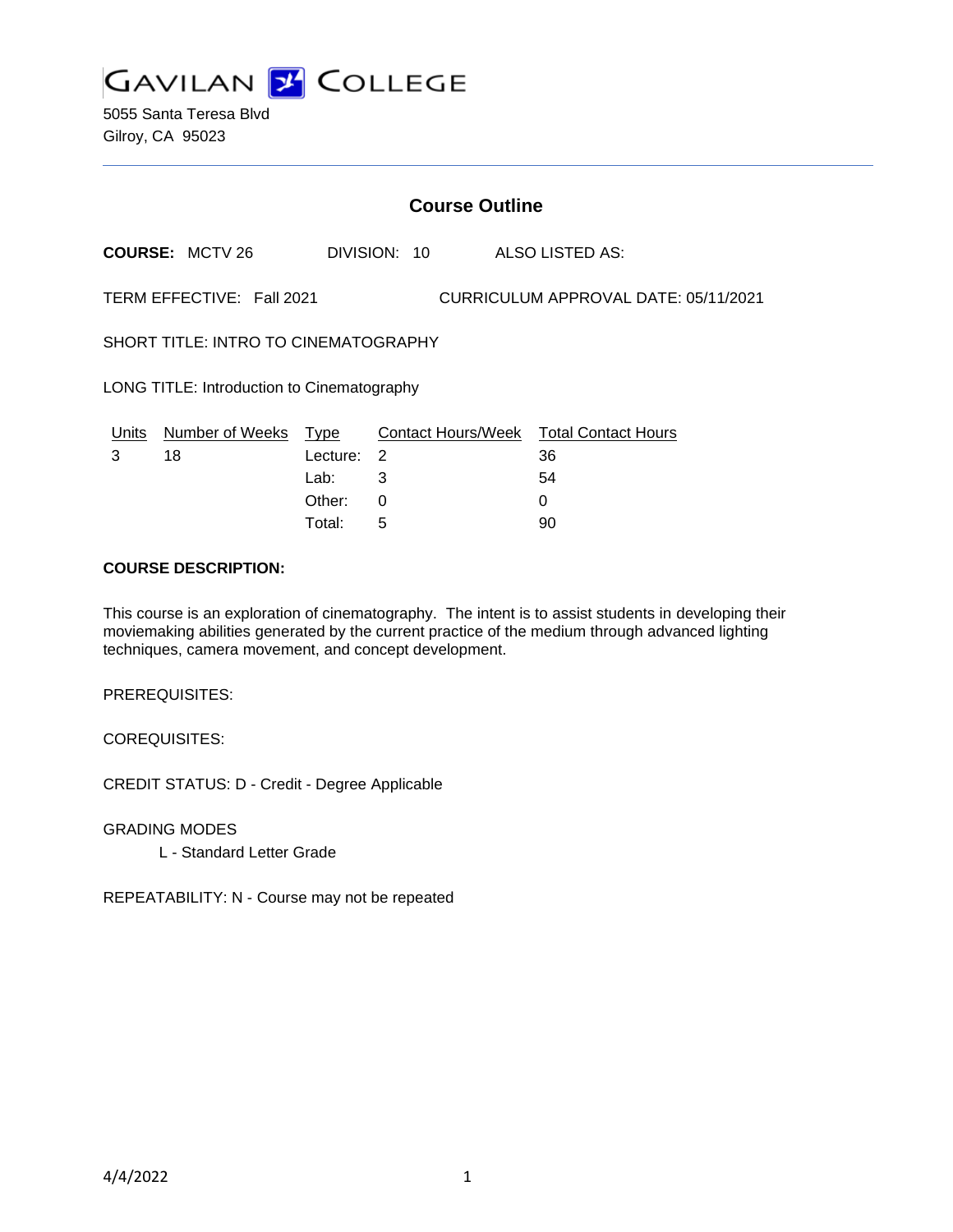

5055 Santa Teresa Blvd Gilroy, CA 95023

# **Course Outline**

**COURSE:** MCTV 26 DIVISION: 10 ALSO LISTED AS:

TERM EFFECTIVE: Fall 2021 CURRICULUM APPROVAL DATE: 05/11/2021

SHORT TITLE: INTRO TO CINEMATOGRAPHY

LONG TITLE: Introduction to Cinematography

| Units | Number of Weeks Type |            | Contact Hours/Week Total Contact Hours |    |
|-------|----------------------|------------|----------------------------------------|----|
|       | 18                   | Lecture: 2 |                                        | 36 |
|       |                      | Lab: __    |                                        | 54 |
|       |                      | Other:     |                                        |    |
|       |                      | Total:     | $\mathbf b$                            | 90 |

## **COURSE DESCRIPTION:**

This course is an exploration of cinematography. The intent is to assist students in developing their moviemaking abilities generated by the current practice of the medium through advanced lighting techniques, camera movement, and concept development.

PREREQUISITES:

COREQUISITES:

CREDIT STATUS: D - Credit - Degree Applicable

GRADING MODES

L - Standard Letter Grade

REPEATABILITY: N - Course may not be repeated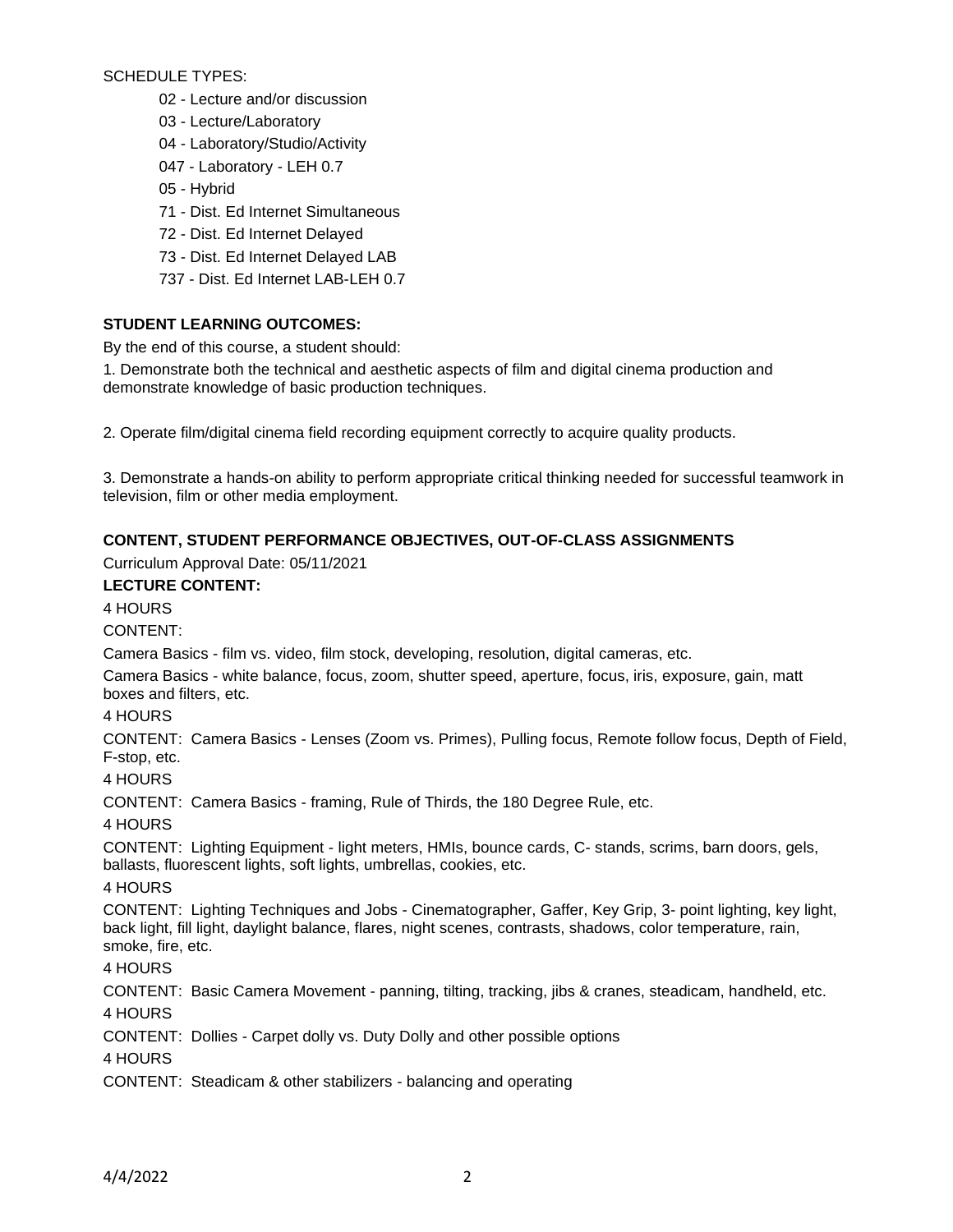SCHEDULE TYPES:

- 02 Lecture and/or discussion
- 03 Lecture/Laboratory
- 04 Laboratory/Studio/Activity
- 047 Laboratory LEH 0.7
- 05 Hybrid
- 71 Dist. Ed Internet Simultaneous
- 72 Dist. Ed Internet Delayed
- 73 Dist. Ed Internet Delayed LAB
- 737 Dist. Ed Internet LAB-LEH 0.7

# **STUDENT LEARNING OUTCOMES:**

By the end of this course, a student should:

1. Demonstrate both the technical and aesthetic aspects of film and digital cinema production and demonstrate knowledge of basic production techniques.

2. Operate film/digital cinema field recording equipment correctly to acquire quality products.

3. Demonstrate a hands-on ability to perform appropriate critical thinking needed for successful teamwork in television, film or other media employment.

# **CONTENT, STUDENT PERFORMANCE OBJECTIVES, OUT-OF-CLASS ASSIGNMENTS**

Curriculum Approval Date: 05/11/2021

#### **LECTURE CONTENT:** 4 HOURS

CONTENT:

Camera Basics - film vs. video, film stock, developing, resolution, digital cameras, etc.

Camera Basics - white balance, focus, zoom, shutter speed, aperture, focus, iris, exposure, gain, matt boxes and filters, etc.

## 4 HOURS

CONTENT: Camera Basics - Lenses (Zoom vs. Primes), Pulling focus, Remote follow focus, Depth of Field, F-stop, etc.

4 HOURS

CONTENT: Camera Basics - framing, Rule of Thirds, the 180 Degree Rule, etc.

4 HOURS

CONTENT: Lighting Equipment - light meters, HMIs, bounce cards, C- stands, scrims, barn doors, gels, ballasts, fluorescent lights, soft lights, umbrellas, cookies, etc.

4 HOURS

CONTENT: Lighting Techniques and Jobs - Cinematographer, Gaffer, Key Grip, 3- point lighting, key light, back light, fill light, daylight balance, flares, night scenes, contrasts, shadows, color temperature, rain, smoke, fire, etc.

4 HOURS

CONTENT: Basic Camera Movement - panning, tilting, tracking, jibs & cranes, steadicam, handheld, etc. 4 HOURS

CONTENT: Dollies - Carpet dolly vs. Duty Dolly and other possible options

4 HOURS

CONTENT: Steadicam & other stabilizers - balancing and operating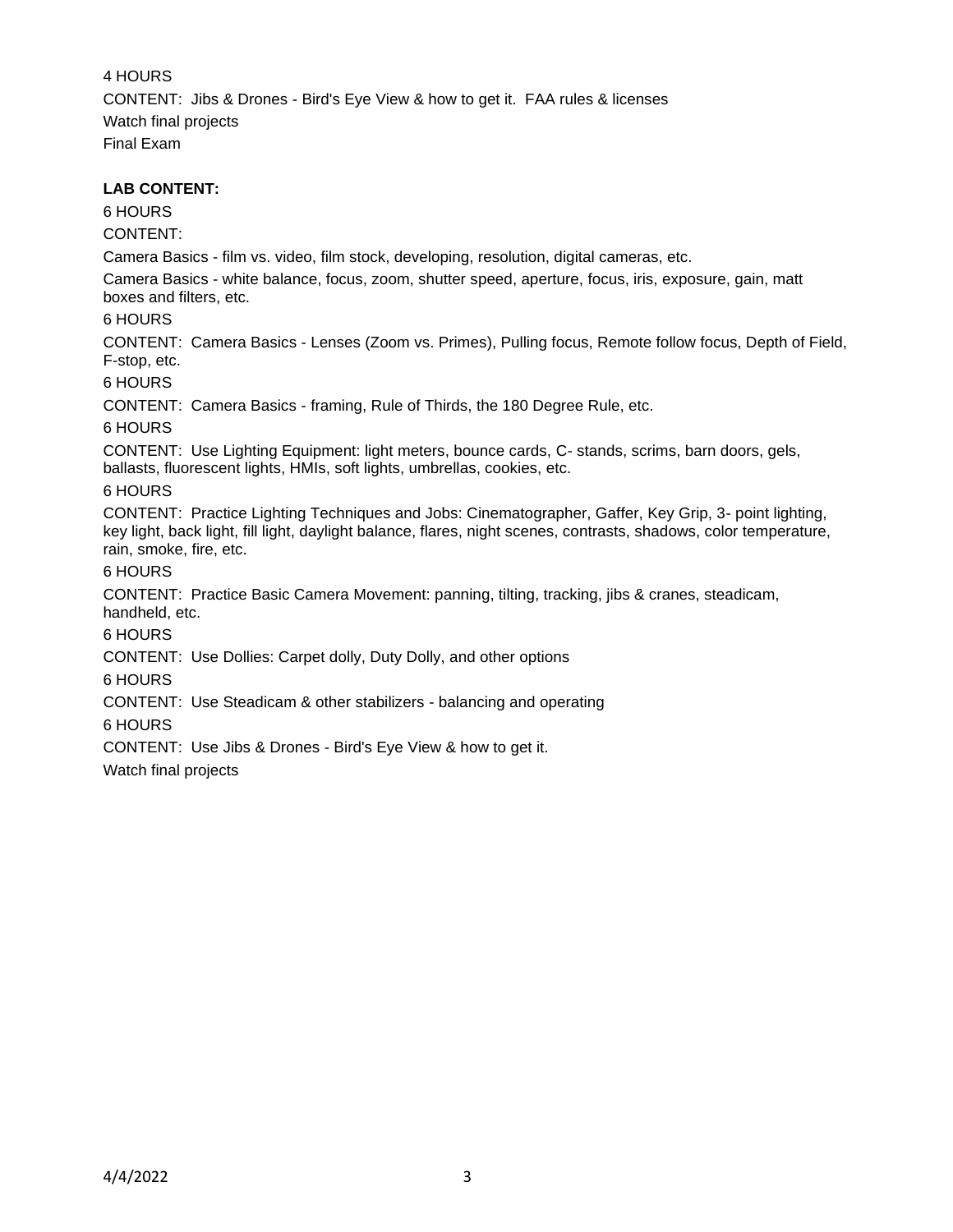4 HOURS CONTENT: Jibs & Drones - Bird's Eye View & how to get it. FAA rules & licenses Watch final projects Final Exam

#### **LAB CONTENT:**

# 6 HOURS

CONTENT:

Camera Basics - film vs. video, film stock, developing, resolution, digital cameras, etc.

Camera Basics - white balance, focus, zoom, shutter speed, aperture, focus, iris, exposure, gain, matt boxes and filters, etc.

## 6 HOURS

CONTENT: Camera Basics - Lenses (Zoom vs. Primes), Pulling focus, Remote follow focus, Depth of Field, F-stop, etc.

6 HOURS

CONTENT: Camera Basics - framing, Rule of Thirds, the 180 Degree Rule, etc.

6 HOURS

CONTENT: Use Lighting Equipment: light meters, bounce cards, C- stands, scrims, barn doors, gels, ballasts, fluorescent lights, HMIs, soft lights, umbrellas, cookies, etc.

## 6 HOURS

CONTENT: Practice Lighting Techniques and Jobs: Cinematographer, Gaffer, Key Grip, 3- point lighting, key light, back light, fill light, daylight balance, flares, night scenes, contrasts, shadows, color temperature, rain, smoke, fire, etc.

## 6 HOURS

CONTENT: Practice Basic Camera Movement: panning, tilting, tracking, jibs & cranes, steadicam, handheld, etc.

6 HOURS

CONTENT: Use Dollies: Carpet dolly, Duty Dolly, and other options

6 HOURS

CONTENT: Use Steadicam & other stabilizers - balancing and operating

6 HOURS

CONTENT: Use Jibs & Drones - Bird's Eye View & how to get it.

Watch final projects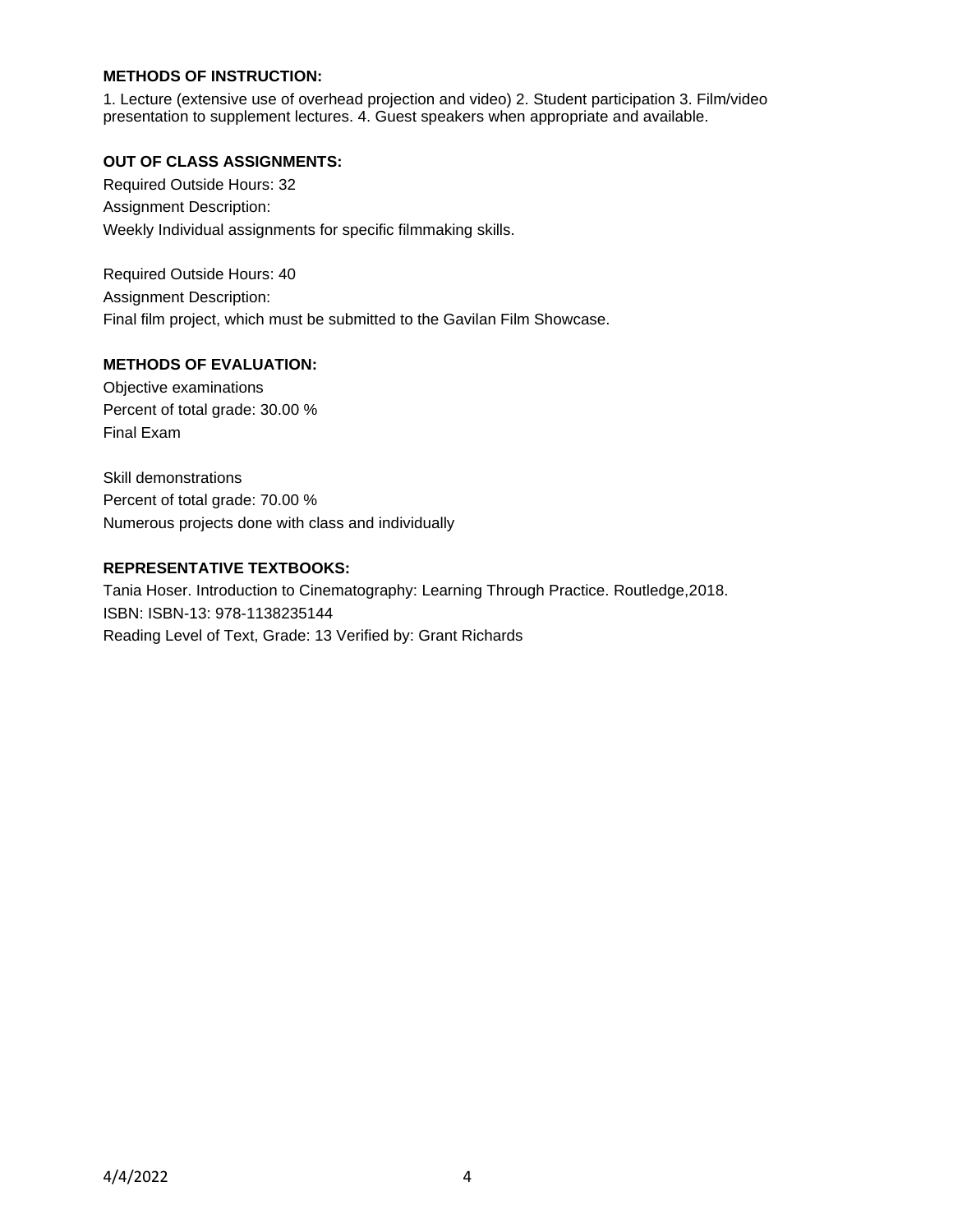# **METHODS OF INSTRUCTION:**

1. Lecture (extensive use of overhead projection and video) 2. Student participation 3. Film/video presentation to supplement lectures. 4. Guest speakers when appropriate and available.

## **OUT OF CLASS ASSIGNMENTS:**

Required Outside Hours: 32 Assignment Description: Weekly Individual assignments for specific filmmaking skills.

Required Outside Hours: 40 Assignment Description: Final film project, which must be submitted to the Gavilan Film Showcase.

#### **METHODS OF EVALUATION:**

Objective examinations Percent of total grade: 30.00 % Final Exam

Skill demonstrations Percent of total grade: 70.00 % Numerous projects done with class and individually

#### **REPRESENTATIVE TEXTBOOKS:**

Tania Hoser. Introduction to Cinematography: Learning Through Practice. Routledge,2018. ISBN: ISBN-13: 978-1138235144 Reading Level of Text, Grade: 13 Verified by: Grant Richards